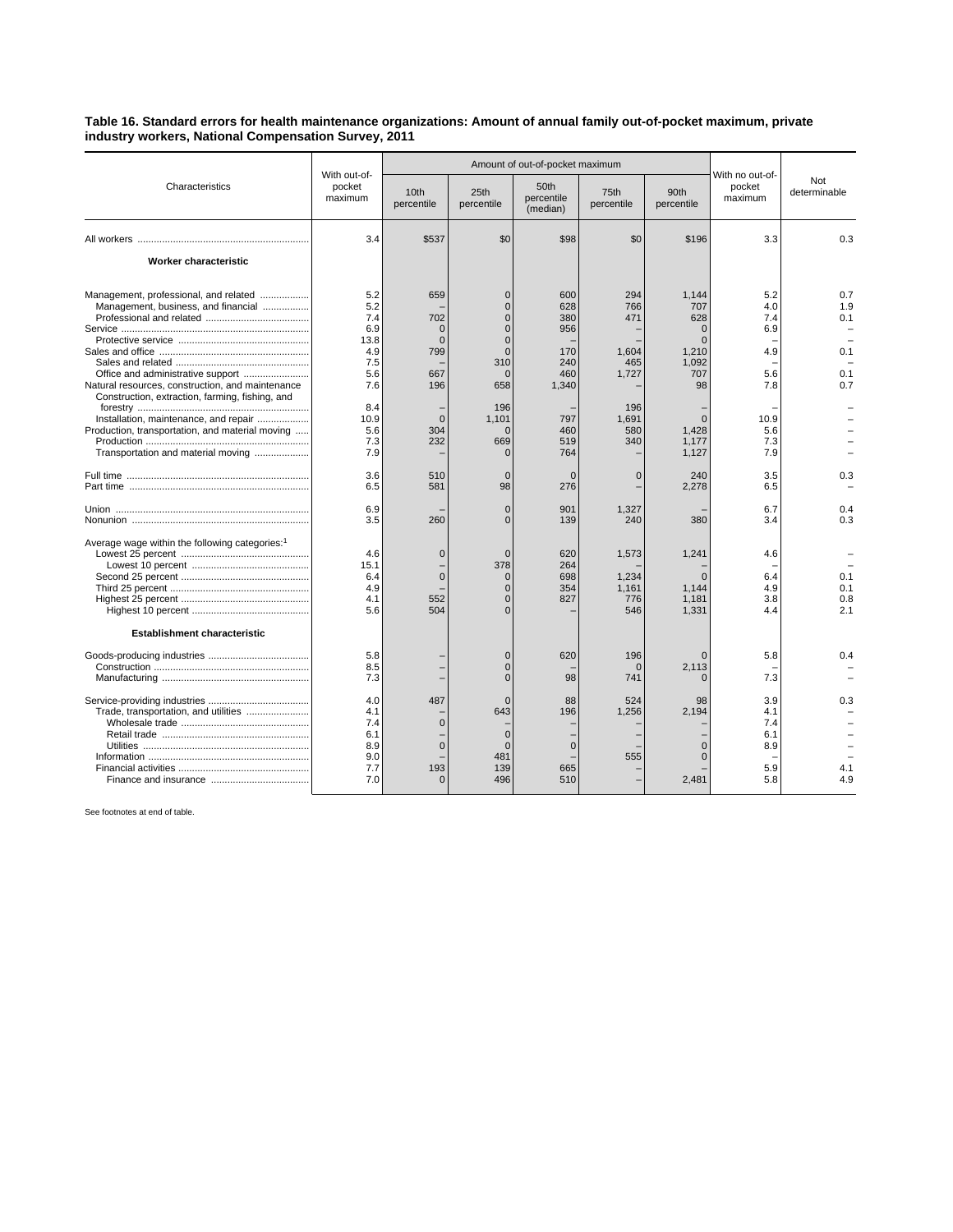## **Table 16. Standard errors for health maintenance organizations: Amount of annual family out-of-pocket maximum, private industry workers, National Compensation Survey, 2011**

| Characteristics                                                                                                                                                                                                                                                                                                       | With out-of-<br>pocket<br>maximum                                                                |                                                                                         | Amount of out-of-pocket maximum                                                                                                                 |                                                                                    |                                                                          |                                                                                           |                                                                            |                                        |
|-----------------------------------------------------------------------------------------------------------------------------------------------------------------------------------------------------------------------------------------------------------------------------------------------------------------------|--------------------------------------------------------------------------------------------------|-----------------------------------------------------------------------------------------|-------------------------------------------------------------------------------------------------------------------------------------------------|------------------------------------------------------------------------------------|--------------------------------------------------------------------------|-------------------------------------------------------------------------------------------|----------------------------------------------------------------------------|----------------------------------------|
|                                                                                                                                                                                                                                                                                                                       |                                                                                                  | 10th<br>percentile                                                                      | 25th<br>percentile                                                                                                                              | 50th<br>percentile<br>(median)                                                     | 75th<br>percentile                                                       | 90th<br>percentile                                                                        | With no out-of-<br>pocket<br>maximum                                       | Not<br>determinable                    |
|                                                                                                                                                                                                                                                                                                                       | 3.4                                                                                              | \$537                                                                                   | \$0                                                                                                                                             | \$98                                                                               | \$0                                                                      | \$196                                                                                     | 3.3                                                                        | 0.3                                    |
| <b>Worker characteristic</b>                                                                                                                                                                                                                                                                                          |                                                                                                  |                                                                                         |                                                                                                                                                 |                                                                                    |                                                                          |                                                                                           |                                                                            |                                        |
| Management, professional, and related<br>Management, business, and financial<br>Natural resources, construction, and maintenance<br>Construction, extraction, farming, fishing, and<br>Installation, maintenance, and repair<br>Production, transportation, and material moving<br>Transportation and material moving | 5.2<br>5.2<br>7.4<br>6.9<br>13.8<br>4.9<br>7.5<br>5.6<br>7.6<br>8.4<br>10.9<br>5.6<br>7.3<br>7.9 | 659<br>702<br>$\Omega$<br>$\Omega$<br>799<br>667<br>196<br>$\overline{0}$<br>304<br>232 | $\Omega$<br>$\overline{0}$<br>$\Omega$<br>0<br>$\overline{0}$<br>$\Omega$<br>310<br>$\mathbf{0}$<br>658<br>196<br>1.101<br>$\Omega$<br>669<br>∩ | 600<br>628<br>380<br>956<br>170<br>240<br>460<br>1,340<br>797<br>460<br>519<br>764 | 294<br>766<br>471<br>1,604<br>465<br>1,727<br>196<br>1.691<br>580<br>340 | 1.144<br>707<br>628<br>$\Omega$<br>1,210<br>1.092<br>707<br>98<br>1,428<br>1,177<br>1,127 | 5.2<br>4.0<br>7.4<br>6.9<br>4.9<br>5.6<br>7.8<br>10.9<br>5.6<br>7.3<br>7.9 | 0.7<br>1.9<br>0.1<br>0.1<br>0.1<br>0.7 |
|                                                                                                                                                                                                                                                                                                                       | 3.6<br>6.5                                                                                       | 510<br>581                                                                              | $\mathbf{0}$<br>98                                                                                                                              | $\Omega$<br>276                                                                    | $\Omega$                                                                 | 240<br>2,278                                                                              | 3.5<br>6.5                                                                 | 0.3                                    |
|                                                                                                                                                                                                                                                                                                                       | 6.9<br>3.5                                                                                       | 260                                                                                     | $\Omega$<br>$\Omega$                                                                                                                            | 901<br>139                                                                         | 1,327<br>240                                                             | 380                                                                                       | 6.7<br>3.4                                                                 | 0.4<br>0.3                             |
| Average wage within the following categories: <sup>1</sup><br><b>Establishment characteristic</b>                                                                                                                                                                                                                     | 4.6<br>15.1<br>6.4<br>4.9<br>4.1<br>5.6                                                          | $\Omega$<br>$\mathbf{0}$<br>552<br>504                                                  | $\Omega$<br>378<br>$\overline{0}$<br>$\overline{0}$<br>$\Omega$<br>$\Omega$                                                                     | 620<br>264<br>698<br>354<br>827                                                    | 1,573<br>1,234<br>1,161<br>776<br>546                                    | 1,241<br>1.144<br>1,181<br>1,331                                                          | 4.6<br>6.4<br>4.9<br>3.8<br>4.4                                            | 0.1<br>0.1<br>0.8<br>2.1               |
|                                                                                                                                                                                                                                                                                                                       | 5.8<br>8.5<br>7.3                                                                                |                                                                                         | $\overline{0}$<br>0<br>$\Omega$                                                                                                                 | 620<br>98                                                                          | 196<br>C<br>741                                                          | 2.113                                                                                     | 5.8<br>7.3                                                                 | 0.4                                    |
|                                                                                                                                                                                                                                                                                                                       | 4.0<br>4.1<br>7.4<br>6.1<br>8.9<br>9.0<br>7.7<br>7.0                                             | 487<br>$\mathbf 0$<br>$\Omega$<br>193<br>$\mathbf{0}$                                   | $\Omega$<br>643<br>$\overline{0}$<br>$\Omega$<br>481<br>139<br>496                                                                              | 88<br>196<br>$\Omega$<br>665<br>510                                                | 524<br>1,256<br>555                                                      | 98<br>2.194<br>2,481                                                                      | 3.9<br>4.1<br>7.4<br>6.1<br>8.9<br>5.9<br>5.8                              | 0.3<br>4.1<br>4.9                      |

See footnotes at end of table.